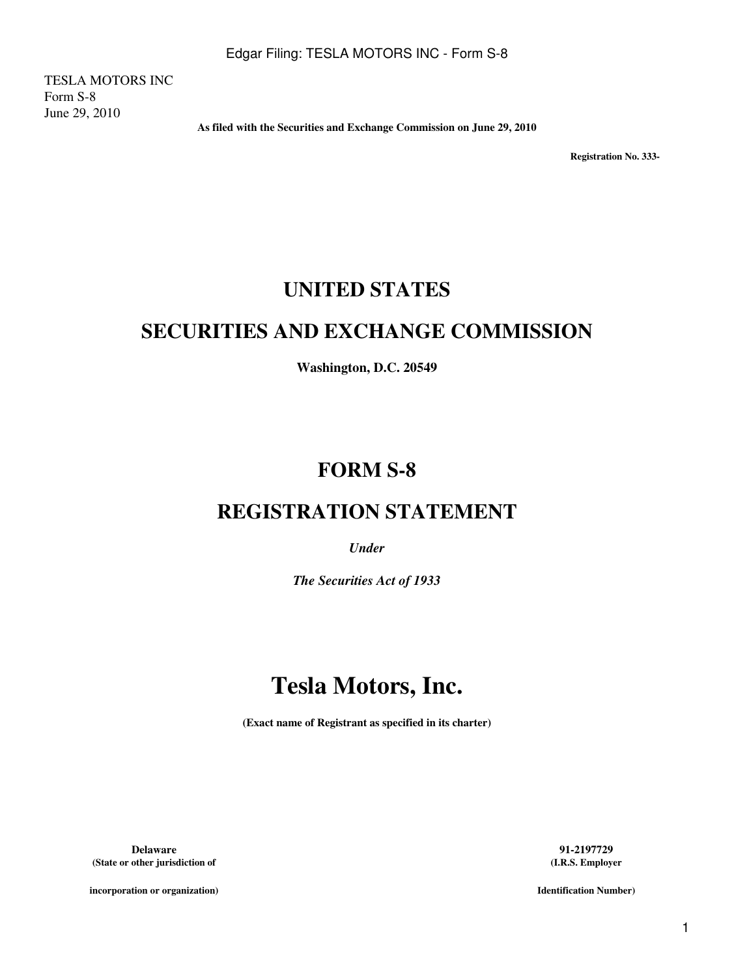TESLA MOTORS INC Form S-8 June 29, 2010

**As filed with the Securities and Exchange Commission on June 29, 2010**

**Registration No. 333-** 

# **UNITED STATES**

# **SECURITIES AND EXCHANGE COMMISSION**

**Washington, D.C. 20549**

# **FORM S-8**

# **REGISTRATION STATEMENT**

*Under*

*The Securities Act of 1933*

# **Tesla Motors, Inc.**

**(Exact name of Registrant as specified in its charter)**

**Delaware 91-2197729 (State or other jurisdiction of**

**(I.R.S. Employer**

**incorporation or organization)**

**Identification Number)**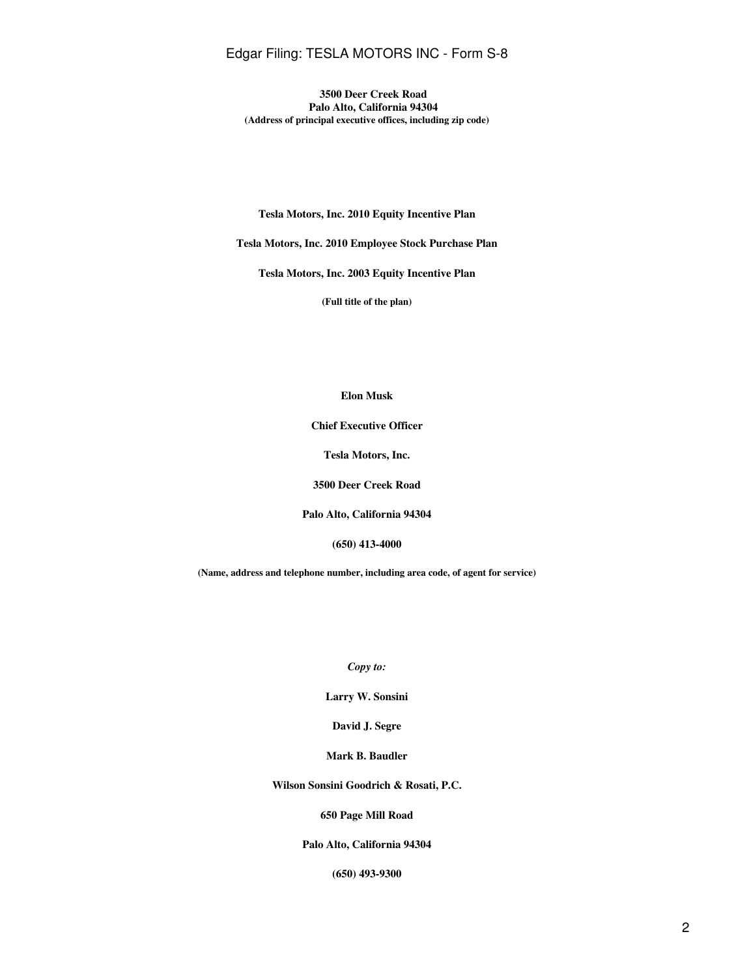# Edgar Filing: TESLA MOTORS INC - Form S-8

**3500 Deer Creek Road Palo Alto, California 94304 (Address of principal executive offices, including zip code)**

#### **Tesla Motors, Inc. 2010 Equity Incentive Plan**

**Tesla Motors, Inc. 2010 Employee Stock Purchase Plan**

**Tesla Motors, Inc. 2003 Equity Incentive Plan**

**(Full title of the plan)**

## **Elon Musk**

**Chief Executive Officer**

**Tesla Motors, Inc.**

**3500 Deer Creek Road**

**Palo Alto, California 94304**

**(650) 413-4000**

**(Name, address and telephone number, including area code, of agent for service)**

*Copy to:*

**Larry W. Sonsini**

**David J. Segre**

**Mark B. Baudler**

**Wilson Sonsini Goodrich & Rosati, P.C.**

## **650 Page Mill Road**

## **Palo Alto, California 94304**

**(650) 493-9300**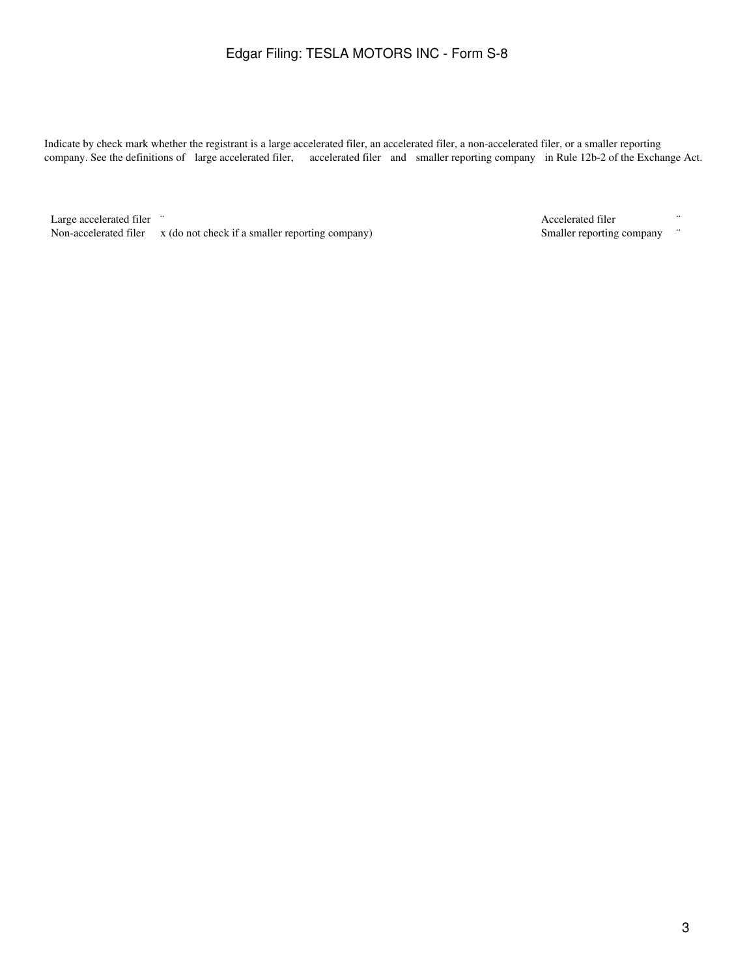# Edgar Filing: TESLA MOTORS INC - Form S-8

Indicate by check mark whether the registrant is a large accelerated filer, an accelerated filer, a non-accelerated filer, or a smaller reporting company. See the definitions of large accelerated filer, accelerated filer and smaller reporting company in Rule 12b-2 of the Exchange Act.

Large accelerated filer <sup>"</sup><br>Non-accelerated filer x (do not check if a smaller reporting company) **The Smaller reporting company** "<br>Smaller reporting company "
Smaller reporting company Non-accelerated filer  $x$  (do not check if a smaller reporting company)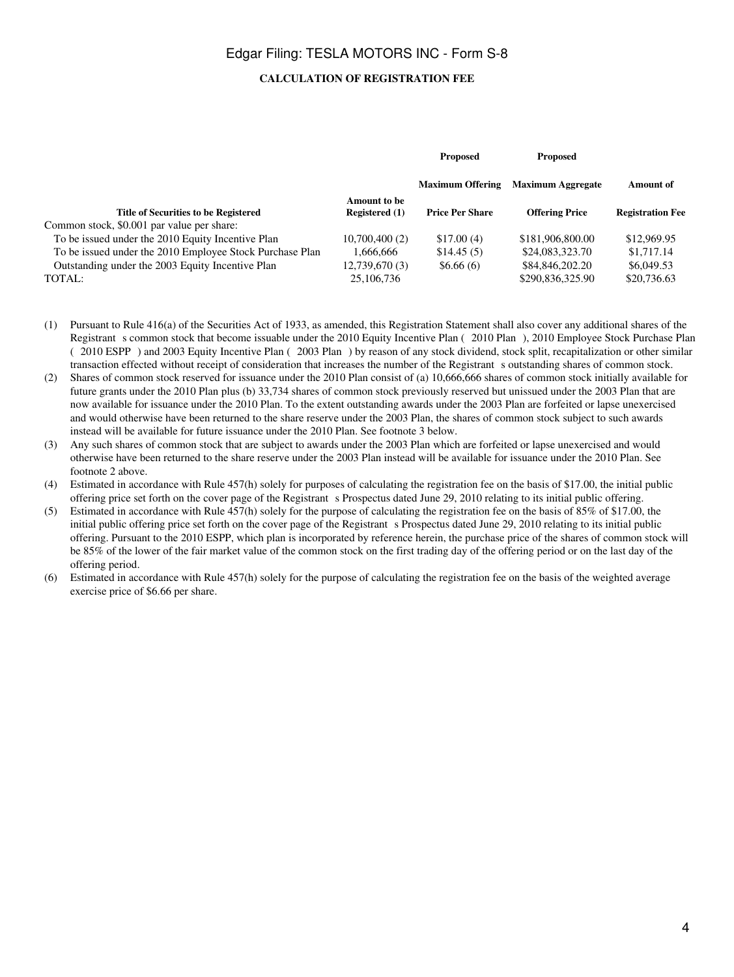# **CALCULATION OF REGISTRATION FEE**

|                                                          |                                       | <b>Proposed</b>         | <b>Proposed</b>          |                         |  |
|----------------------------------------------------------|---------------------------------------|-------------------------|--------------------------|-------------------------|--|
|                                                          |                                       | <b>Maximum Offering</b> | <b>Maximum Aggregate</b> | Amount of               |  |
| <b>Title of Securities to be Registered</b>              | Amount to be<br><b>Registered</b> (1) | <b>Price Per Share</b>  | <b>Offering Price</b>    | <b>Registration Fee</b> |  |
| Common stock, \$0.001 par value per share:               |                                       |                         |                          |                         |  |
| To be issued under the 2010 Equity Incentive Plan        | 10,700,400(2)                         | \$17.00(4)              | \$181,906,800.00         | \$12,969.95             |  |
| To be issued under the 2010 Employee Stock Purchase Plan | 1.666.666                             | \$14.45(5)              | \$24,083,323.70          | \$1,717.14              |  |
| Outstanding under the 2003 Equity Incentive Plan         | 12,739,670(3)                         | \$6.66(6)               | \$84,846,202.20          | \$6,049.53              |  |
| TOTAL:                                                   | 25,106,736                            |                         | \$290,836,325.90         | \$20,736.63             |  |

- (1) Pursuant to Rule 416(a) of the Securities Act of 1933, as amended, this Registration Statement shall also cover any additional shares of the Registrant s common stock that become issuable under the 2010 Equity Incentive Plan (2010 Plan), 2010 Employee Stock Purchase Plan (2010 ESPP) and 2003 Equity Incentive Plan (2003 Plan) by reason of any stock dividend, stock split, recapitalization or other similar transaction effected without receipt of consideration that increases the number of the Registrant soutstanding shares of common stock.
- (2) Shares of common stock reserved for issuance under the 2010 Plan consist of (a) 10,666,666 shares of common stock initially available for future grants under the 2010 Plan plus (b) 33,734 shares of common stock previously reserved but unissued under the 2003 Plan that are now available for issuance under the 2010 Plan. To the extent outstanding awards under the 2003 Plan are forfeited or lapse unexercised and would otherwise have been returned to the share reserve under the 2003 Plan, the shares of common stock subject to such awards instead will be available for future issuance under the 2010 Plan. See footnote 3 below.
- (3) Any such shares of common stock that are subject to awards under the 2003 Plan which are forfeited or lapse unexercised and would otherwise have been returned to the share reserve under the 2003 Plan instead will be available for issuance under the 2010 Plan. See footnote 2 above.
- (4) Estimated in accordance with Rule 457(h) solely for purposes of calculating the registration fee on the basis of \$17.00, the initial public offering price set forth on the cover page of the Registrant s Prospectus dated June 29, 2010 relating to its initial public offering.
- (5) Estimated in accordance with Rule 457(h) solely for the purpose of calculating the registration fee on the basis of 85% of \$17.00, the initial public offering price set forth on the cover page of the Registrant s Prospectus dated June 29, 2010 relating to its initial public offering. Pursuant to the 2010 ESPP, which plan is incorporated by reference herein, the purchase price of the shares of common stock will be 85% of the lower of the fair market value of the common stock on the first trading day of the offering period or on the last day of the offering period.
- (6) Estimated in accordance with Rule 457(h) solely for the purpose of calculating the registration fee on the basis of the weighted average exercise price of \$6.66 per share.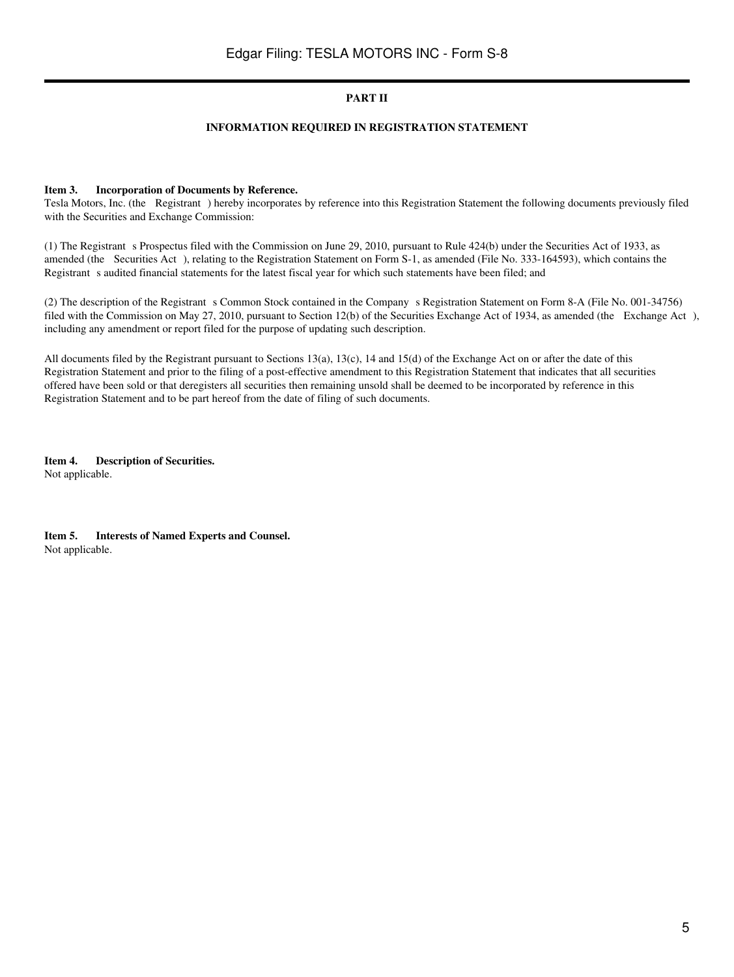# **PART II**

## **INFORMATION REQUIRED IN REGISTRATION STATEMENT**

#### **Item 3. Incorporation of Documents by Reference.**

Tesla Motors, Inc. (the Registrant) hereby incorporates by reference into this Registration Statement the following documents previously filed with the Securities and Exchange Commission:

(1) The Registrants Prospectus filed with the Commission on June 29, 2010, pursuant to Rule 424(b) under the Securities Act of 1933, as amended (the Securities Act), relating to the Registration Statement on Form S-1, as amended (File No. 333-164593), which contains the Registrant s audited financial statements for the latest fiscal year for which such statements have been filed; and

(2) The description of the Registrant s Common Stock contained in the Company s Registration Statement on Form 8-A (File No. 001-34756) filed with the Commission on May 27, 2010, pursuant to Section 12(b) of the Securities Exchange Act of 1934, as amended (the Exchange Act), including any amendment or report filed for the purpose of updating such description.

All documents filed by the Registrant pursuant to Sections 13(a), 13(c), 14 and 15(d) of the Exchange Act on or after the date of this Registration Statement and prior to the filing of a post-effective amendment to this Registration Statement that indicates that all securities offered have been sold or that deregisters all securities then remaining unsold shall be deemed to be incorporated by reference in this Registration Statement and to be part hereof from the date of filing of such documents.

**Item 4. Description of Securities.** Not applicable.

**Item 5. Interests of Named Experts and Counsel.** Not applicable.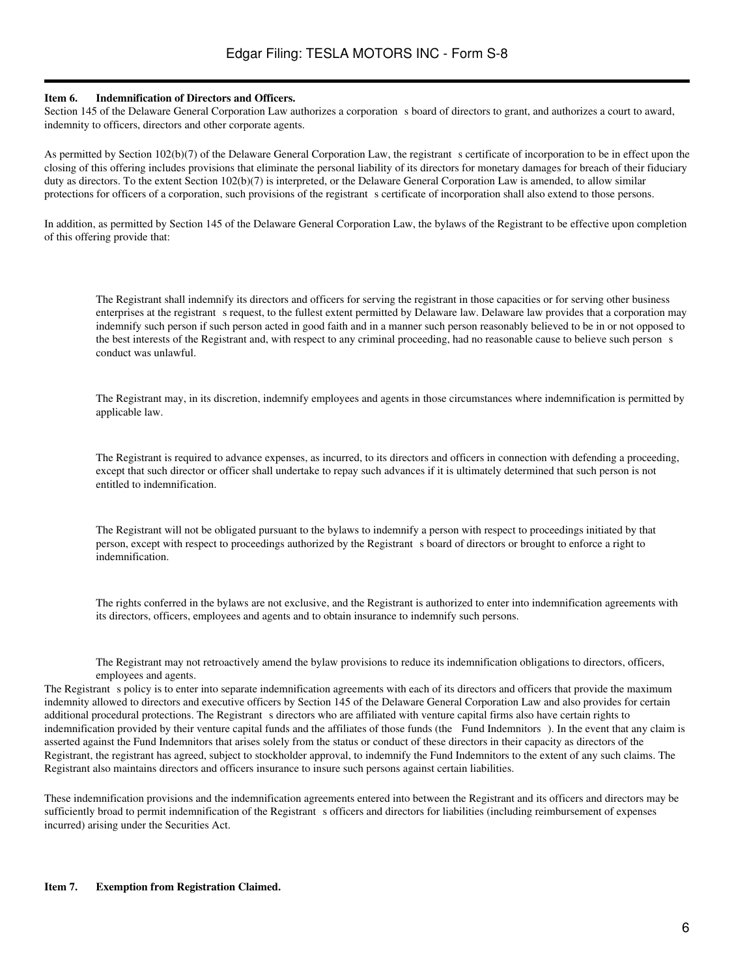#### **Item 6. Indemnification of Directors and Officers.**

Section 145 of the Delaware General Corporation Law authorizes a corporation s board of directors to grant, and authorizes a court to award, indemnity to officers, directors and other corporate agents.

As permitted by Section 102(b)(7) of the Delaware General Corporation Law, the registrant s certificate of incorporation to be in effect upon the closing of this offering includes provisions that eliminate the personal liability of its directors for monetary damages for breach of their fiduciary duty as directors. To the extent Section 102(b)(7) is interpreted, or the Delaware General Corporation Law is amended, to allow similar protections for officers of a corporation, such provisions of the registrant s certificate of incorporation shall also extend to those persons.

In addition, as permitted by Section 145 of the Delaware General Corporation Law, the bylaws of the Registrant to be effective upon completion of this offering provide that:

The Registrant shall indemnify its directors and officers for serving the registrant in those capacities or for serving other business enterprises at the registrant s request, to the fullest extent permitted by Delaware law. Delaware law provides that a corporation may indemnify such person if such person acted in good faith and in a manner such person reasonably believed to be in or not opposed to the best interests of the Registrant and, with respect to any criminal proceeding, had no reasonable cause to believe such persons conduct was unlawful.

The Registrant may, in its discretion, indemnify employees and agents in those circumstances where indemnification is permitted by applicable law.

The Registrant is required to advance expenses, as incurred, to its directors and officers in connection with defending a proceeding, except that such director or officer shall undertake to repay such advances if it is ultimately determined that such person is not entitled to indemnification.

The Registrant will not be obligated pursuant to the bylaws to indemnify a person with respect to proceedings initiated by that person, except with respect to proceedings authorized by the Registrant s board of directors or brought to enforce a right to indemnification.

The rights conferred in the bylaws are not exclusive, and the Registrant is authorized to enter into indemnification agreements with its directors, officers, employees and agents and to obtain insurance to indemnify such persons.

The Registrant may not retroactively amend the bylaw provisions to reduce its indemnification obligations to directors, officers, employees and agents.

The Registrant s policy is to enter into separate indemnification agreements with each of its directors and officers that provide the maximum indemnity allowed to directors and executive officers by Section 145 of the Delaware General Corporation Law and also provides for certain additional procedural protections. The Registrant s directors who are affiliated with venture capital firms also have certain rights to indemnification provided by their venture capital funds and the affiliates of those funds (the Fund Indemnitors). In the event that any claim is asserted against the Fund Indemnitors that arises solely from the status or conduct of these directors in their capacity as directors of the Registrant, the registrant has agreed, subject to stockholder approval, to indemnify the Fund Indemnitors to the extent of any such claims. The Registrant also maintains directors and officers insurance to insure such persons against certain liabilities.

These indemnification provisions and the indemnification agreements entered into between the Registrant and its officers and directors may be sufficiently broad to permit indemnification of the Registrant s officers and directors for liabilities (including reimbursement of expenses incurred) arising under the Securities Act.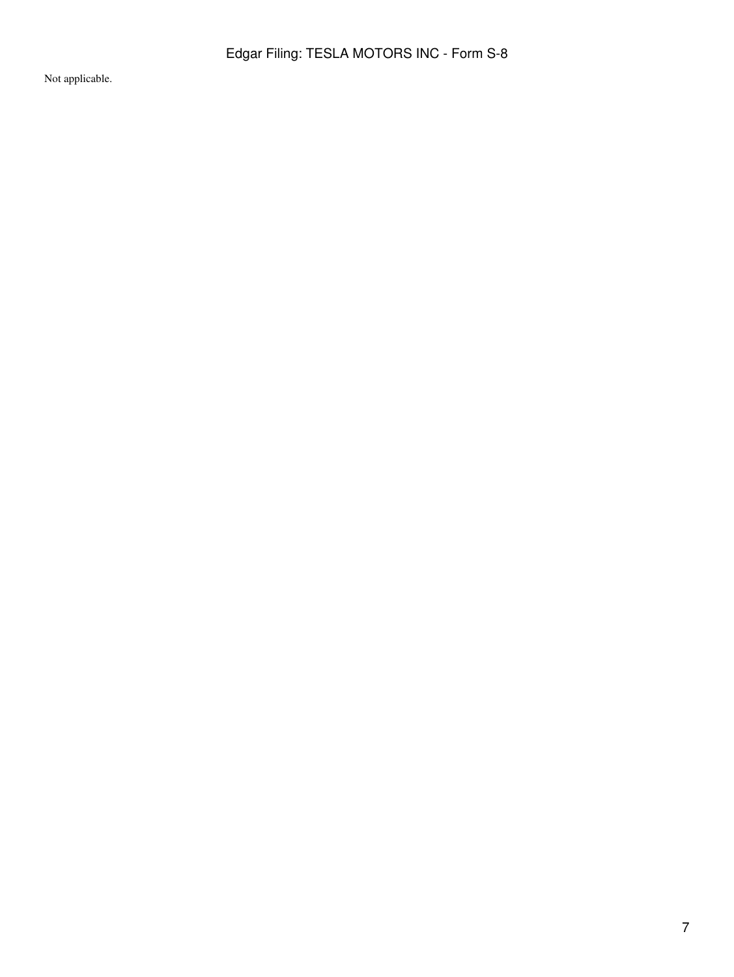Not applicable.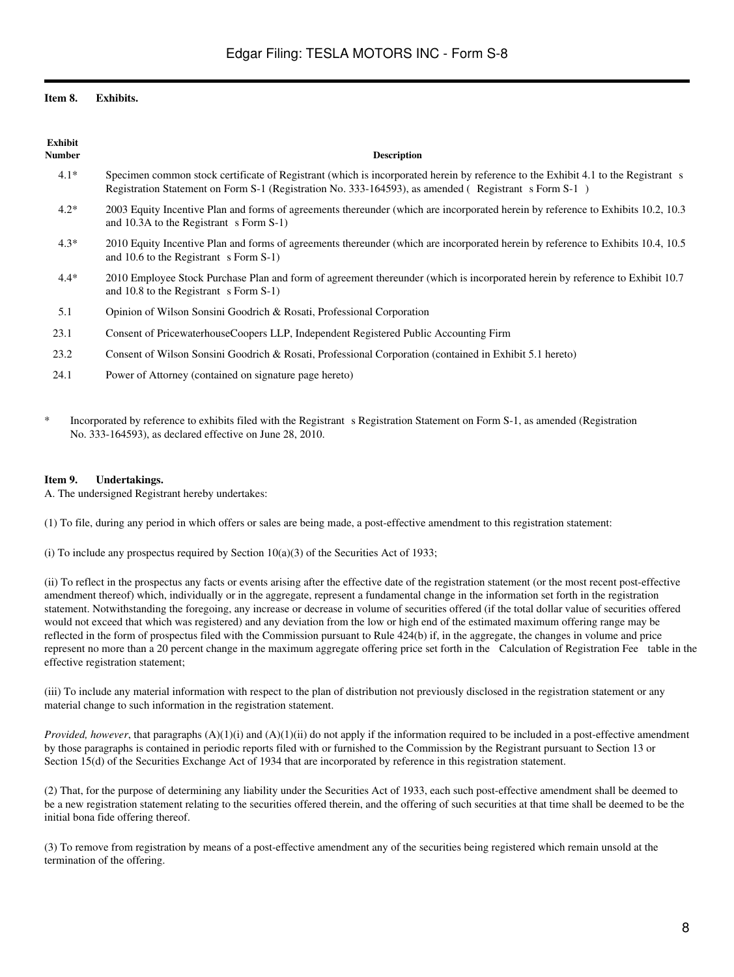## **Item 8. Exhibits.**

| <b>Exhibit</b><br>Number | <b>Description</b>                                                                                                                                                                                                                        |
|--------------------------|-------------------------------------------------------------------------------------------------------------------------------------------------------------------------------------------------------------------------------------------|
| $4.1*$                   | Specimen common stock certificate of Registrant (which is incorporated herein by reference to the Exhibit 4.1 to the Registrant s<br>Registration Statement on Form S-1 (Registration No. 333-164593), as amended (Registrant s Form S-1) |
| $4.2*$                   | 2003 Equity Incentive Plan and forms of agreements thereunder (which are incorporated herein by reference to Exhibits 10.2, 10.3<br>and 10.3A to the Registrant s Form S-1)                                                               |
| $4.3*$                   | 2010 Equity Incentive Plan and forms of agreements thereunder (which are incorporated herein by reference to Exhibits 10.4, 10.5<br>and 10.6 to the Registrant $s$ Form S-1)                                                              |
| $4.4*$                   | 2010 Employee Stock Purchase Plan and form of agreement thereunder (which is incorporated herein by reference to Exhibit 10.7<br>and 10.8 to the Registrant s Form S-1)                                                                   |
| 5.1                      | Opinion of Wilson Sonsini Goodrich & Rosati, Professional Corporation                                                                                                                                                                     |
| 23.1                     | Consent of PricewaterhouseCoopers LLP, Independent Registered Public Accounting Firm                                                                                                                                                      |
| 23.2                     | Consent of Wilson Sonsini Goodrich & Rosati, Professional Corporation (contained in Exhibit 5.1 hereto)                                                                                                                                   |
| 24.1                     | Power of Attorney (contained on signature page hereto)                                                                                                                                                                                    |

Incorporated by reference to exhibits filed with the Registrant s Registration Statement on Form S-1, as amended (Registration No. 333-164593), as declared effective on June 28, 2010.

## **Item 9. Undertakings.**

A. The undersigned Registrant hereby undertakes:

(1) To file, during any period in which offers or sales are being made, a post-effective amendment to this registration statement:

(i) To include any prospectus required by Section  $10(a)(3)$  of the Securities Act of 1933;

(ii) To reflect in the prospectus any facts or events arising after the effective date of the registration statement (or the most recent post-effective amendment thereof) which, individually or in the aggregate, represent a fundamental change in the information set forth in the registration statement. Notwithstanding the foregoing, any increase or decrease in volume of securities offered (if the total dollar value of securities offered would not exceed that which was registered) and any deviation from the low or high end of the estimated maximum offering range may be reflected in the form of prospectus filed with the Commission pursuant to Rule 424(b) if, in the aggregate, the changes in volume and price represent no more than a 20 percent change in the maximum aggregate offering price set forth in the Calculation of Registration Fee table in the effective registration statement;

(iii) To include any material information with respect to the plan of distribution not previously disclosed in the registration statement or any material change to such information in the registration statement.

*Provided, however*, that paragraphs (A)(1)(i) and (A)(1)(ii) do not apply if the information required to be included in a post-effective amendment by those paragraphs is contained in periodic reports filed with or furnished to the Commission by the Registrant pursuant to Section 13 or Section 15(d) of the Securities Exchange Act of 1934 that are incorporated by reference in this registration statement.

(2) That, for the purpose of determining any liability under the Securities Act of 1933, each such post-effective amendment shall be deemed to be a new registration statement relating to the securities offered therein, and the offering of such securities at that time shall be deemed to be the initial bona fide offering thereof.

(3) To remove from registration by means of a post-effective amendment any of the securities being registered which remain unsold at the termination of the offering.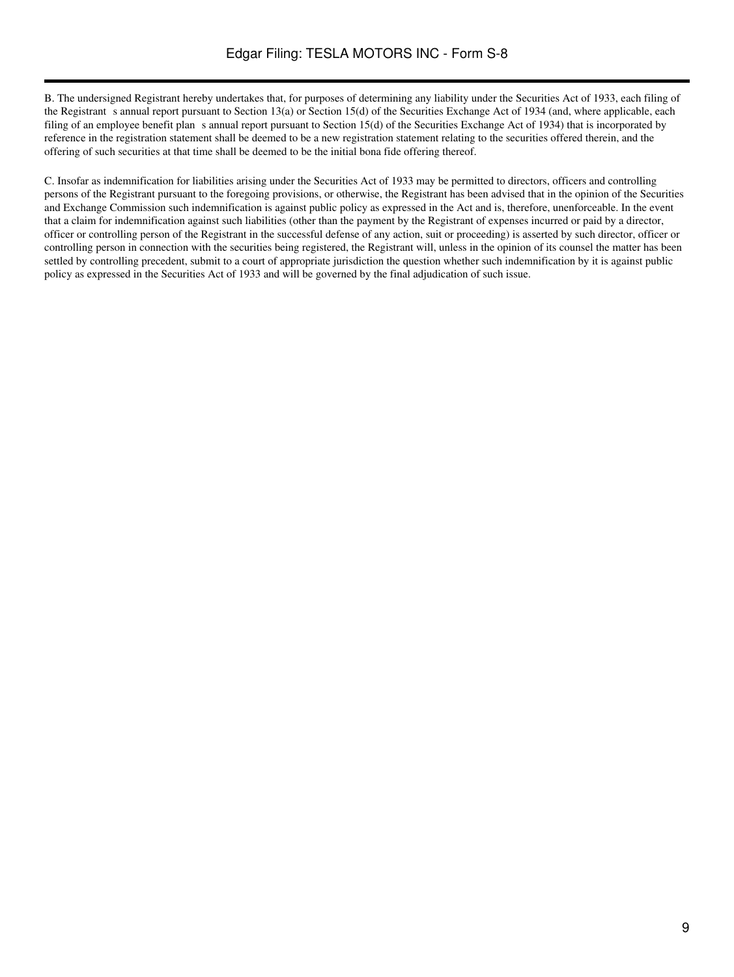B. The undersigned Registrant hereby undertakes that, for purposes of determining any liability under the Securities Act of 1933, each filing of the Registrant s annual report pursuant to Section 13(a) or Section 15(d) of the Securities Exchange Act of 1934 (and, where applicable, each filing of an employee benefit plan s annual report pursuant to Section 15(d) of the Securities Exchange Act of 1934) that is incorporated by reference in the registration statement shall be deemed to be a new registration statement relating to the securities offered therein, and the offering of such securities at that time shall be deemed to be the initial bona fide offering thereof.

C. Insofar as indemnification for liabilities arising under the Securities Act of 1933 may be permitted to directors, officers and controlling persons of the Registrant pursuant to the foregoing provisions, or otherwise, the Registrant has been advised that in the opinion of the Securities and Exchange Commission such indemnification is against public policy as expressed in the Act and is, therefore, unenforceable. In the event that a claim for indemnification against such liabilities (other than the payment by the Registrant of expenses incurred or paid by a director, officer or controlling person of the Registrant in the successful defense of any action, suit or proceeding) is asserted by such director, officer or controlling person in connection with the securities being registered, the Registrant will, unless in the opinion of its counsel the matter has been settled by controlling precedent, submit to a court of appropriate jurisdiction the question whether such indemnification by it is against public policy as expressed in the Securities Act of 1933 and will be governed by the final adjudication of such issue.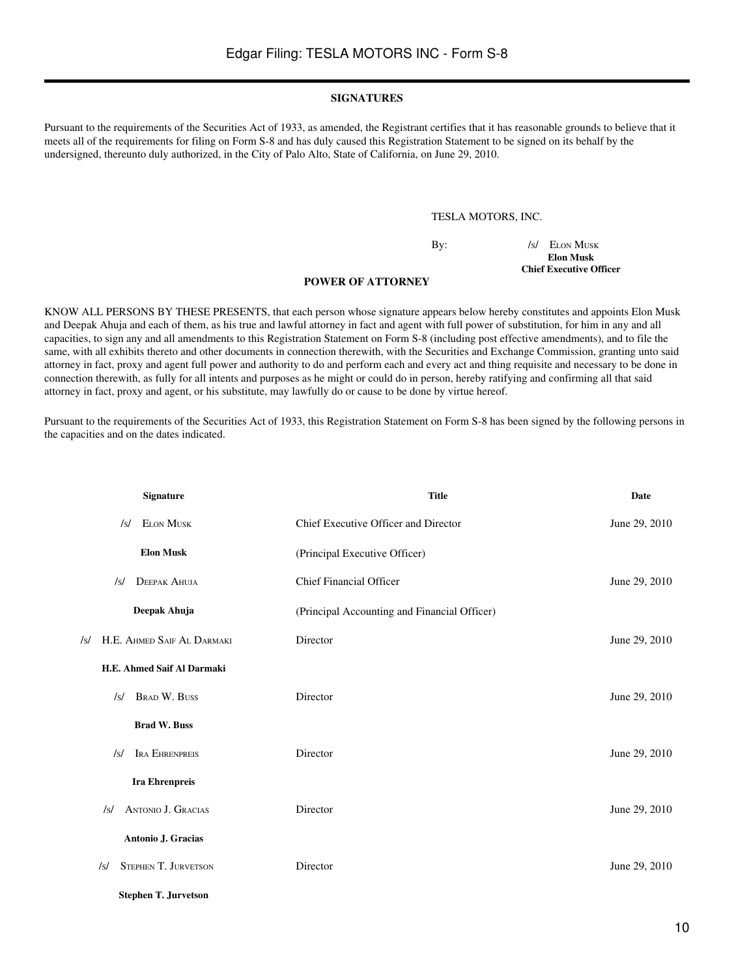#### **SIGNATURES**

Pursuant to the requirements of the Securities Act of 1933, as amended, the Registrant certifies that it has reasonable grounds to believe that it meets all of the requirements for filing on Form S-8 and has duly caused this Registration Statement to be signed on its behalf by the undersigned, thereunto duly authorized, in the City of Palo Alto, State of California, on June 29, 2010.

#### TESLA MOTORS, INC.

By: /s/ ELON MUSK **Elon Musk Chief Executive Officer**

#### **POWER OF ATTORNEY**

KNOW ALL PERSONS BY THESE PRESENTS, that each person whose signature appears below hereby constitutes and appoints Elon Musk and Deepak Ahuja and each of them, as his true and lawful attorney in fact and agent with full power of substitution, for him in any and all capacities, to sign any and all amendments to this Registration Statement on Form S-8 (including post effective amendments), and to file the same, with all exhibits thereto and other documents in connection therewith, with the Securities and Exchange Commission, granting unto said attorney in fact, proxy and agent full power and authority to do and perform each and every act and thing requisite and necessary to be done in connection therewith, as fully for all intents and purposes as he might or could do in person, hereby ratifying and confirming all that said attorney in fact, proxy and agent, or his substitute, may lawfully do or cause to be done by virtue hereof.

Pursuant to the requirements of the Securities Act of 1933, this Registration Statement on Form S-8 has been signed by the following persons in the capacities and on the dates indicated.

| <b>Signature</b>                        | <b>Title</b>                                 | Date          |
|-----------------------------------------|----------------------------------------------|---------------|
| <b>ELON MUSK</b><br>$\sqrt{s}$          | Chief Executive Officer and Director         | June 29, 2010 |
| <b>Elon Musk</b>                        | (Principal Executive Officer)                |               |
| <b>DEEPAK AHUJA</b><br>$\sqrt{s}$       | <b>Chief Financial Officer</b>               | June 29, 2010 |
| Deepak Ahuja                            | (Principal Accounting and Financial Officer) |               |
| H.E. AHMED SAIF AL DARMAKI<br>/s/       | Director                                     | June 29, 2010 |
| H.E. Ahmed Saif Al Darmaki              |                                              |               |
| <b>BRAD W. BUSS</b><br>/s/              | Director                                     | June 29, 2010 |
| <b>Brad W. Buss</b>                     |                                              |               |
| IRA EHRENPREIS<br>/s/                   | Director                                     | June 29, 2010 |
| <b>Ira Ehrenpreis</b>                   |                                              |               |
| <b>ANTONIO J. GRACIAS</b><br>$\sqrt{s}$ | Director                                     | June 29, 2010 |
| Antonio J. Gracias                      |                                              |               |
| <b>STEPHEN T. JURVETSON</b><br>/s/      | Director                                     | June 29, 2010 |
| <b>Stephen T. Jurvetson</b>             |                                              |               |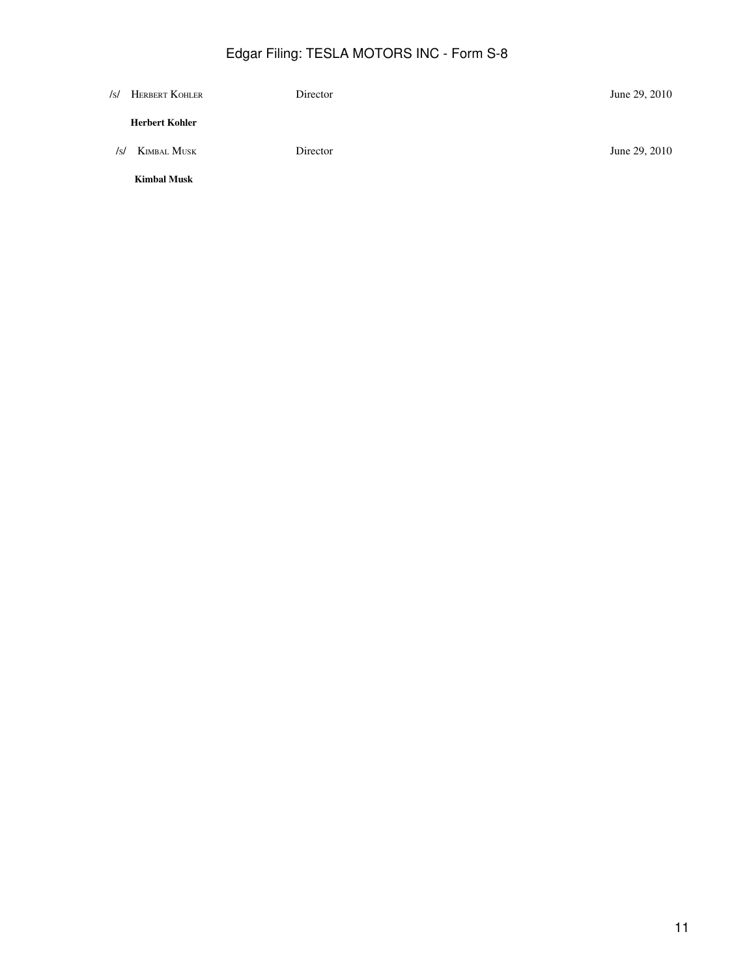# Edgar Filing: TESLA MOTORS INC - Form S-8

| /s/ | HERBERT KOHLER        | Director | June 29, 2010 |
|-----|-----------------------|----------|---------------|
|     | <b>Herbert Kohler</b> |          |               |
| /s/ | KIMBAL MUSK           | Director | June 29, 2010 |
|     | <b>Kimbal Musk</b>    |          |               |